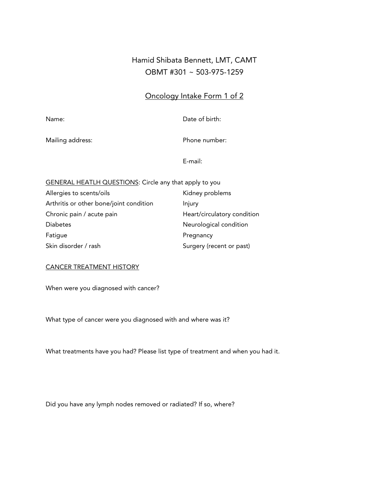# Hamid Shibata Bennett, LMT, CAMT OBMT #301 ~ 503-975-1259

### Oncology Intake Form 1 of 2

Name: Date of birth:

Mailing address: Mailing address: Phone number:

E-mail:

| <b>GENERAL HEATLH QUESTIONS: Circle any that apply to you</b> |                             |
|---------------------------------------------------------------|-----------------------------|
| Allergies to scents/oils                                      | Kidney problems             |
| Arthritis or other bone/joint condition                       | Injury                      |
| Chronic pain / acute pain                                     | Heart/circulatory condition |
| <b>Diabetes</b>                                               | Neurological condition      |
| Fatigue                                                       | Pregnancy                   |
| Skin disorder / rash                                          | Surgery (recent or past)    |
|                                                               |                             |

#### CANCER TREATMENT HISTORY

When were you diagnosed with cancer?

What type of cancer were you diagnosed with and where was it?

What treatments have you had? Please list type of treatment and when you had it.

Did you have any lymph nodes removed or radiated? If so, where?